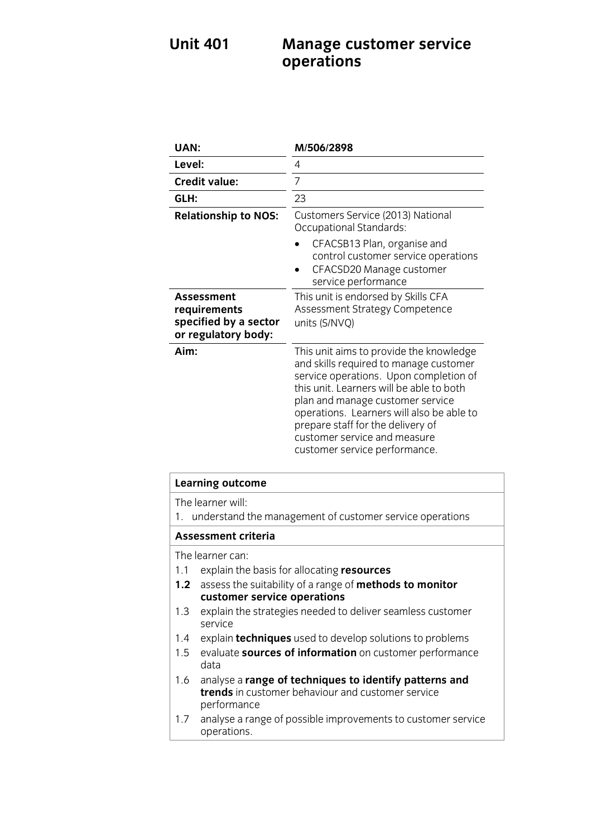## **Unit 401 Management Service 301 Management operations**

| UAN:                                                                       | M/506/2898                                                                                                                                                                                                                                                                                                                                                     |
|----------------------------------------------------------------------------|----------------------------------------------------------------------------------------------------------------------------------------------------------------------------------------------------------------------------------------------------------------------------------------------------------------------------------------------------------------|
| Level:                                                                     | 4                                                                                                                                                                                                                                                                                                                                                              |
| <b>Credit value:</b>                                                       | 7                                                                                                                                                                                                                                                                                                                                                              |
| GLH:                                                                       | 23                                                                                                                                                                                                                                                                                                                                                             |
| <b>Relationship to NOS:</b>                                                | Customers Service (2013) National<br><b>Occupational Standards:</b>                                                                                                                                                                                                                                                                                            |
|                                                                            | CFACSB13 Plan, organise and<br>control customer service operations<br>CFACSD20 Manage customer<br>service performance                                                                                                                                                                                                                                          |
| Assessment<br>requirements<br>specified by a sector<br>or regulatory body: | This unit is endorsed by Skills CFA<br>Assessment Strategy Competence<br>units (S/NVQ)                                                                                                                                                                                                                                                                         |
| Aim:                                                                       | This unit aims to provide the knowledge<br>and skills required to manage customer<br>service operations. Upon completion of<br>this unit. Learners will be able to both<br>plan and manage customer service<br>operations. Learners will also be able to<br>prepare staff for the delivery of<br>customer service and measure<br>customer service performance. |

|                                                                                  | <b>Learning outcome</b>                                                                                                    |  |
|----------------------------------------------------------------------------------|----------------------------------------------------------------------------------------------------------------------------|--|
| The learner will:<br>1. understand the management of customer service operations |                                                                                                                            |  |
| <b>Assessment criteria</b>                                                       |                                                                                                                            |  |
|                                                                                  | The learner can:                                                                                                           |  |
| 1.1                                                                              | explain the basis for allocating resources                                                                                 |  |
|                                                                                  | 1.2 assess the suitability of a range of methods to monitor                                                                |  |
|                                                                                  | customer service operations                                                                                                |  |
| 1.3                                                                              | explain the strategies needed to deliver seamless customer<br>service                                                      |  |
| 1.4                                                                              | explain <b>techniques</b> used to develop solutions to problems                                                            |  |
| $1.5 -$                                                                          | evaluate sources of information on customer performance<br>data                                                            |  |
| 1.6                                                                              | analyse a range of techniques to identify patterns and<br>trends in customer behaviour and customer service<br>performance |  |
| 1.7                                                                              | analyse a range of possible improvements to customer service<br>operations.                                                |  |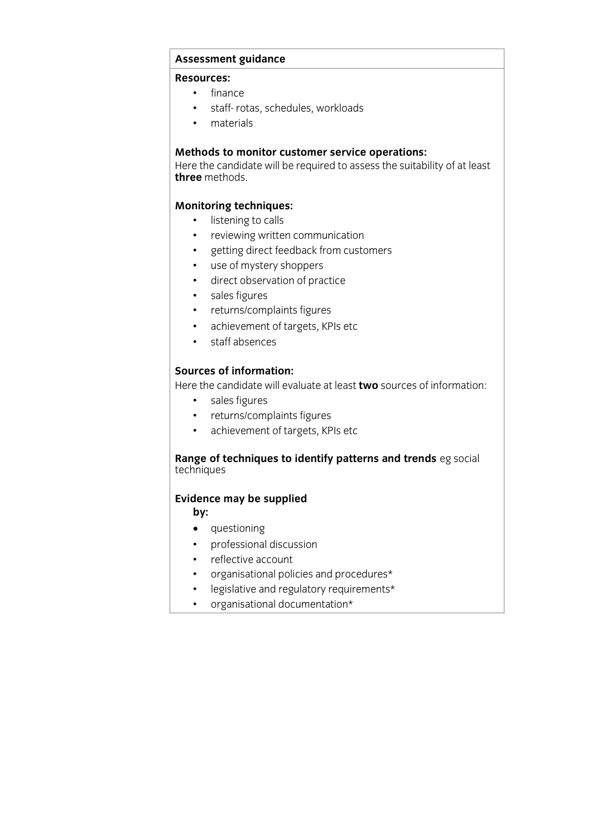# **Assessment guidance**

- finance
	- staff- rotas, schedules, workloads
	- materials

**Methods to monitor customer service operations:**<br>Here the candidate will be required to assess the suitability of at least three methods. **three** methods.

- **Monitoring techniques:**  listening to calls
	- reviewing written communication
	- getting direct feedback from customers
	- use of mystery shoppers
	- direct observation of practice
	- sales figures
	- returns/complaints figures
	- achievement of targets, KPIs etc<br>• staff absences
	- staff absences

**Sources of information:**<br>Here the candidate will evaluate at least **two** sources of information:

- sales figures<br>• sales figures **the candidate figures** 
	- returns/complaints figures<br>• achievement of targets. KP
	- achievement of targets, KPIs etc

## **Range of techniques to identify patterns and trends** eg social techniques

# **Evidence may be supplied**

- •<br>• **questioning**
- professional discussion
- reflective account
- organisational policies and procedures\*
- legislative and regulatory requirements\*<br>• organisational documentation\*
- organisational documentation\*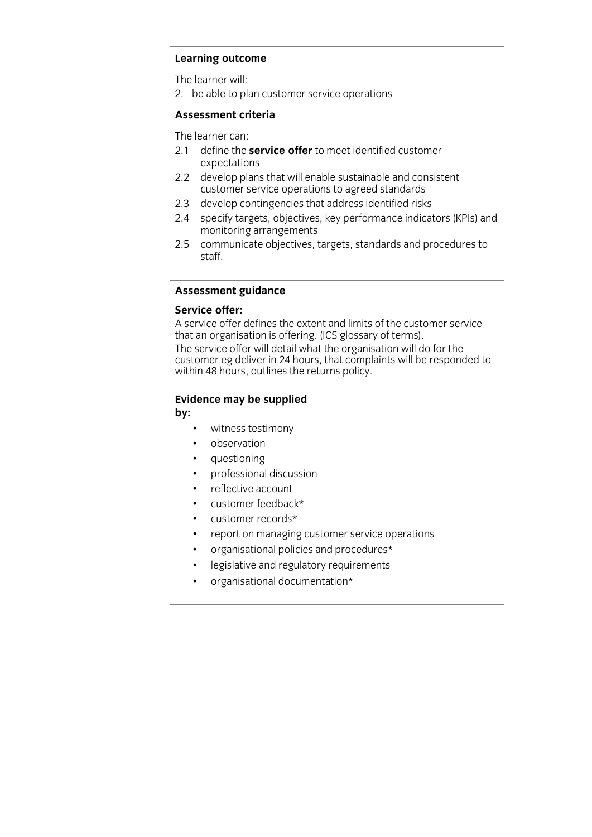The learner will:<br>2. be able to plan customer service operations 2. be able to plan customer service operations

#### **Assessment criteria Assessment criteria**

- The learner can:<br>2.1 define the **service offer** to meet identified customer expectations
- 2.2 develop plans that will enable sustainable and consistent customer service operations to agreed standards
- $2.3$ develop contingencies that address identified risks
- 2.4 specify targets, objectives, key performance indicators (KPIs) and monitoring arrangements
- en monitoring and arrangements are the contract of the contract of the contract of the contract of the contract of the contract of the contract of the contract of the contract of the contract of the contract of the contrac  $2.5$  communicate objectives,  $\frac{1}{2}$  computed and procedures to  $\frac{1}{2}$ staff.

# **Assessment guidance**

A service offer defines the extent and limits of the customer service that an organisation is offering. (ICS glossary of terms).

The service offer will detail what the organisation will do for the customer eg deliver in 24 hours, that complaints will be responded to within 48 hours, outlines the returns policy. with 48 hours, outlines the returns policy.

## **Evidence may be supplied**

**by:**

- witness testimony<br>• observation
- observation
- questioning
- professional discussion
- reflective account
- customer feedback\*
- customer records\*
- report on managing customer service operations
- organisational policies and procedures\*<br>• legislative and regulatory requirements
- legislative and regulatory requirements<br>• organisational documentation\*
- organisational documentation\*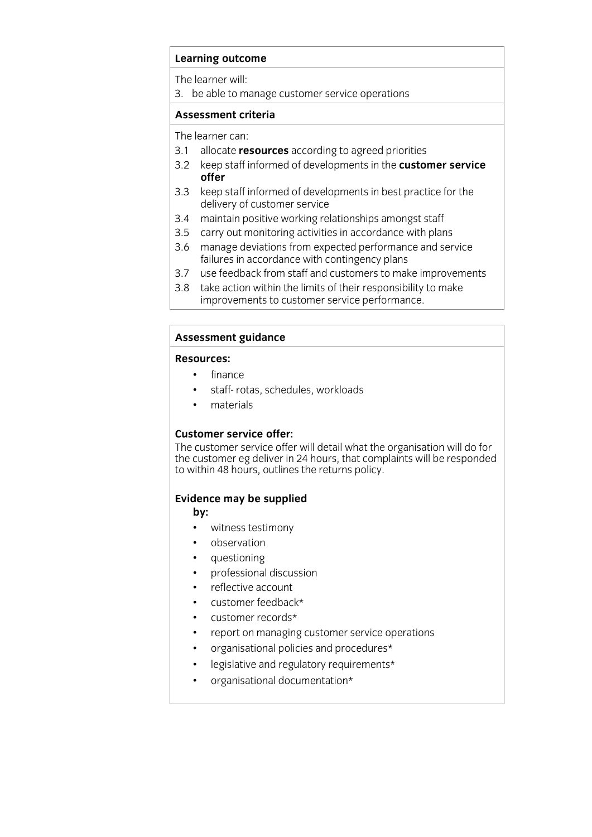The learner will:<br>3. be able to manage customer service operations 3. be able to manage customer service operations

#### **Assessment criteria Assessment criteria**

The learner can:

- 3.1 allocate resources according to agreed priorities
- 3.2 keep staff informed of developments in the **customer service** 3.2 keep staff informed of developments in the **customer service**
- 3.3 keep staff informed of developments in best practice for the delivery of customer service
- 3.4 maintain positive working relationships amongst staff
- 3.5 carry out monitoring activities in accordance with plans
- 3.6 manage deviations from expected performance and service failures in accordance with contingency plans
- 3.7 use feedback from staff and customers to make improvements
- 3.8 take action within the limits of their responsibility to make improvements to customer service performance. improvements to customer service performance.

### **Assessment guidance**

#### **Resources:**

- finance
	- staff- rotas, schedules, workloads
	- materials

### **Customer service offer:**

The customer service offer will detail what the organisation will do for the customer eg deliver in 24 hours, that complaints will be responded the customer eguidation in 24 hours, that complaints will be responsed.<br>to within 48 hours, outlines the returns policy.  $\sum_{i=1}^n$  to within  $\sum_{i=1}^n$  hours, outlines the returns policy.

# **Evidence may be supplied**

- **by:**  witness testimony
- observation
- questioning
- professional discussion
- reflective account
- customer feedback\*
- customer records\*
- report on managing customer service operations
- organisational policies and procedures\*<br>• legislative and regulatory requirements\*
- legislative and regulatory requirements\*
- organisational documentation\*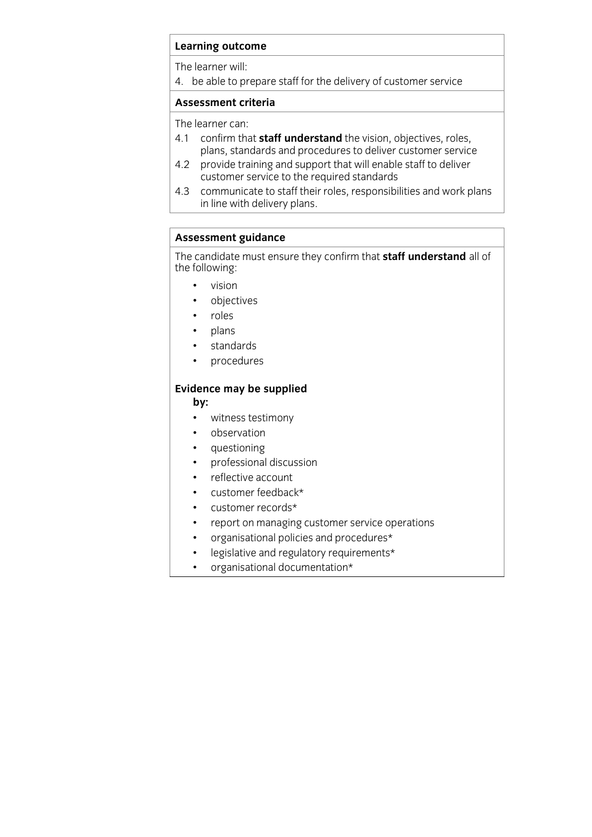The learner will:

 $\overline{1}$  he able to pro  $\frac{1}{\sqrt{2}}$ . because the delivery of customer services of customer services of customer services of customer services of customer services of customer services of customer services of customer services of customer servic

## **Assessment criteria**

- The learner can:<br>4.1 confirm that **staff understand** the vision, objectives, roles, plans, standards and procedures to deliver customer service
- 4.2 provide training and support that will enable staff to deliver customer service to the required standards
- 4.3 communicate to staff their roles, responsibilities and work plans  $\frac{1}{2}$  in line with delivery plans in line with delivery plans.

**Assessment guidance**<br>The candidate must ensure they confirm that **staff understand** all of The candidate must ensure they confirm that **staff understand** all of the following:

- vision<br>• object
- objectives<br>• roles
- roles
- plans
- standards<br>• procedure
- procedures

### j **Evidence may be supplied**

**by:**

- witness testimony
- observation
- questioning<br>• professional
- professional discussion
- reflective account
- customer feedback\*
- customer records\*
- report on managing customer service operations<br>• organisational policies and procedures\*
- organisational policies and procedures\*<br>• legislative and regulatory requirements\*
- legislative and regulatory requirements\*<br>• organisational documentation\*
- organisational documentation\*